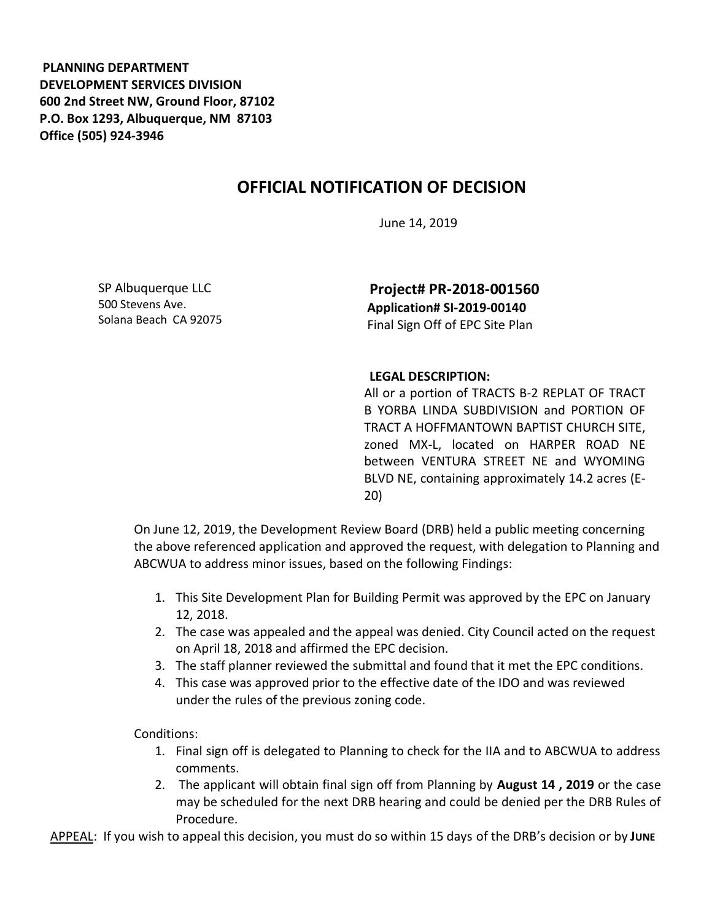**PLANNING DEPARTMENT DEVELOPMENT SERVICES DIVISION 600 2nd Street NW, Ground Floor, 87102 P.O. Box 1293, Albuquerque, NM 87103 Office (505) 924-3946** 

## **OFFICIAL NOTIFICATION OF DECISION**

June 14, 2019

SP Albuquerque LLC 500 Stevens Ave. Solana Beach CA 92075

**Project# PR-2018-001560 Application# SI-2019-00140**  Final Sign Off of EPC Site Plan

## **LEGAL DESCRIPTION:**

All or a portion of TRACTS B-2 REPLAT OF TRACT B YORBA LINDA SUBDIVISION and PORTION OF TRACT A HOFFMANTOWN BAPTIST CHURCH SITE, zoned MX-L, located on HARPER ROAD NE between VENTURA STREET NE and WYOMING BLVD NE, containing approximately 14.2 acres (E-20)

On June 12, 2019, the Development Review Board (DRB) held a public meeting concerning the above referenced application and approved the request, with delegation to Planning and ABCWUA to address minor issues, based on the following Findings:

- 1. This Site Development Plan for Building Permit was approved by the EPC on January 12, 2018.
- 2. The case was appealed and the appeal was denied. City Council acted on the request on April 18, 2018 and affirmed the EPC decision.
- 3. The staff planner reviewed the submittal and found that it met the EPC conditions.
- 4. This case was approved prior to the effective date of the IDO and was reviewed under the rules of the previous zoning code.

Conditions:

- 1. Final sign off is delegated to Planning to check for the IIA and to ABCWUA to address comments.
- 2. The applicant will obtain final sign off from Planning by **August 14 , 2019** or the case may be scheduled for the next DRB hearing and could be denied per the DRB Rules of Procedure.

APPEAL: If you wish to appeal this decision, you must do so within 15 days of the DRB's decision or by **JUNE**